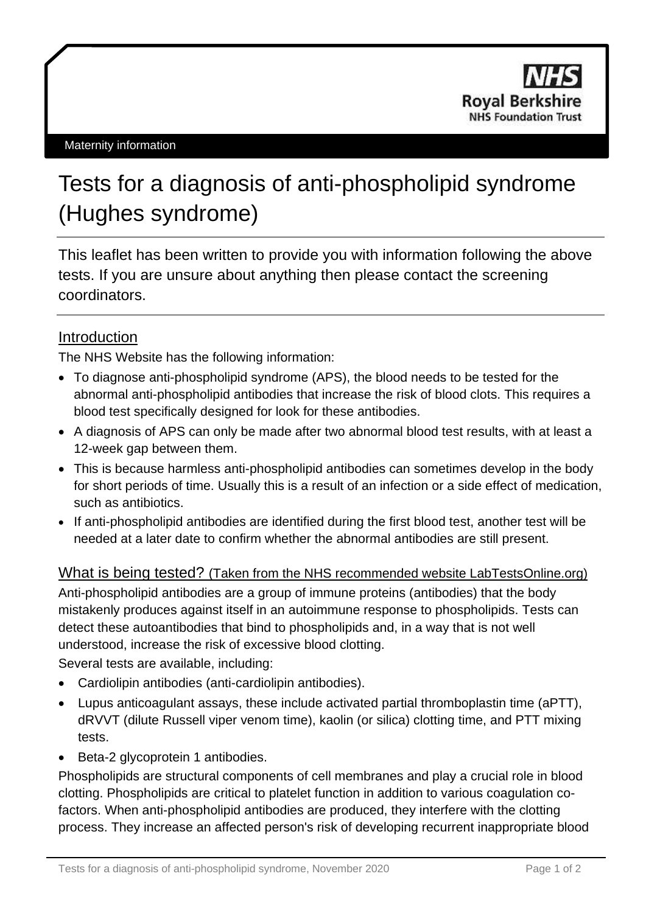

# Tests for a diagnosis of anti-phospholipid syndrome (Hughes syndrome)

This leaflet has been written to provide you with information following the above tests. If you are unsure about anything then please contact the screening coordinators.

### **Introduction**

The NHS Website has the following information:

- To diagnose anti-phospholipid syndrome (APS), the blood needs to be tested for the abnormal anti-phospholipid antibodies that increase the risk of blood clots. This requires a blood test specifically designed for look for these antibodies.
- A diagnosis of APS can only be made after two abnormal blood test results, with at least a 12-week gap between them.
- This is because harmless anti-phospholipid antibodies can sometimes develop in the body for short periods of time. Usually this is a result of an infection or a side effect of medication, such as [antibiotics.](https://www.nhs.uk/conditions/Antibiotics-penicillins/Pages/Introduction.aspx)
- If anti-phospholipid antibodies are identified during the first blood test, another test will be needed at a later date to confirm whether the abnormal antibodies are still present.

#### What is being tested? (Taken from the NHS recommended website LabTestsOnline.org)

Anti-phospholipid antibodies are a group of immune proteins [\(antibodies\)](https://labtestsonline.org/glossary/antibody) that the body mistakenly produces against itself in an [autoimmune](https://labtestsonline.org/glossary/autoimmunity) response to phospholipids. Tests can detect these [autoantibodies](https://labtestsonline.org/understanding/analytes/autoantibodies) that bind to phospholipids and, in a way that is not well understood, increase the risk of excessive blood clotting.

Several tests are available, including:

- [Cardiolipin antibodies](https://labtestsonline.org/understanding/analytes/cardiolipin) (anti-cardiolipin antibodies).
- [Lupus anticoagulant assays,](https://labtestsonline.org/understanding/analytes/lupus-anticoagulant) these include [activated partial thromboplastin time \(aPTT\),](https://labtestsonline.org/understanding/analytes/ptt) dRVVT (dilute Russell viper venom time), kaolin (or silica) clotting time, and PTT mixing tests.
- [Beta-2 glycoprotein 1 antibodies.](https://labtestsonline.org/understanding/analytes/beta-2-glycoprotein-1-antibodies)

Phospholipids are structural components of cell membranes and play a crucial role in blood clotting. Phospholipids are critical to platelet function in addition to various coagulation cofactors. When anti-phospholipid antibodies are produced, they interfere with the clotting process. They increase an affected person's risk of developing recurrent inappropriate blood